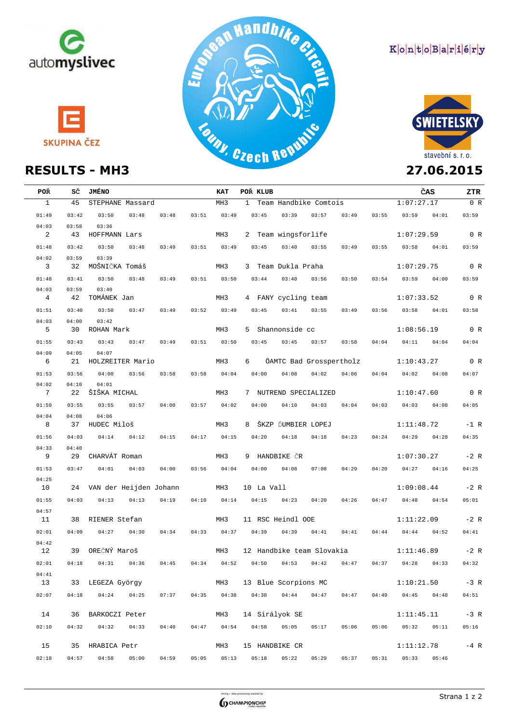





## KontoBariéry



| <b>POŘ</b>                 |       | SČ JMÉNO                                        |                 | KAT<br>MH3      | ČAS<br>POR KLUB                                                                                                 | ZTR<br>0 R |
|----------------------------|-------|-------------------------------------------------|-----------------|-----------------|-----------------------------------------------------------------------------------------------------------------|------------|
| $\mathbf{1}$               | 45    | STEPHANE Massard                                |                 |                 | 1:07:27.17<br>1 Team Handbike Comtois                                                                           |            |
| 01:49                      | 03:42 | 03:50<br>03:48<br>03:48                         | 03:51           | 03:49           | $03:45$ $03:39$<br>03:57<br>03:49<br>$03:55$ $03:59$ $04:01$                                                    | 03:59      |
| 04:03                      | 03:58 | 03:36                                           |                 |                 |                                                                                                                 |            |
| $\overline{\phantom{a}}^2$ | 43    | HOFFMANN Lars                                   |                 | MH3             | $1:07:29.59$ 0 R<br>2 Team wingsforlife                                                                         |            |
| 01:48                      | 03:42 | 03:50<br>03:49<br>03:48                         | 03:51           | 03:49           | $03:45$ $03:40$ $03:55$<br>03:49<br>$03:55$ $03:58$ $04:01$                                                     | 03:59      |
| 04:02                      | 03:59 | 03:39                                           |                 |                 |                                                                                                                 |            |
| $\overline{\mathbf{3}}$    | 32    | MOŠNIČKA Tomáš                                  |                 | MH3             | 1:07:29.75<br>3   Team Dukla Praha                                                                              | 0 R        |
| 01:48                      | 03:41 | 03:50<br>03:48<br>03:49                         |                 | $03:51$ $03:50$ | $03:44$ $03:40$ $03:56$<br>03:50<br>$03:54$ $03:59$ $04:00$                                                     | 03:59      |
| 04:03                      | 03:59 | 03:40                                           |                 |                 |                                                                                                                 |            |
| $\overline{4}$             | 42    | TOMÁNEK Jan                                     |                 | MH3             | 4 FANY cycling team<br>1:07:33.52                                                                               | 0 R        |
| 01:51                      | 03:40 | 03:50<br>$03:47$ $03:49$                        |                 | $03:52$ $03:49$ | $03:45$ $03:41$ $03:55$<br>03:49<br>03:56 03:58 04:01                                                           | 03:58      |
| 04:03<br>$5^{\circ}$       | 04:00 | 03:42<br>30 ROHAN Mark                          |                 | MH3             | 5 Shannonside cc<br>1:08:56.19                                                                                  | 0 R        |
| 01:55                      | 03:43 | 03:43<br>$03:47$ $03:49$                        |                 | $03:51$ $03:50$ | $03:45$ $03:45$ $03:57$<br>03:58<br>$04:04$ $04:11$ $04:04$                                                     | 04:04      |
| 04:09                      | 04:05 | 04:07                                           |                 |                 |                                                                                                                 |            |
| 6                          |       | 21 HOLZREITER Mario                             |                 | MH3             | 6 ÖAMTC Bad Grosspertholz 1:10:43.27                                                                            | 0 R        |
| 01:53                      | 03:56 | 04:00<br>03:56<br>03:58                         | $03:58$ $04:04$ |                 | $04:02$ $04:06$ $04:04$ $04:02$ $04:08$<br>$04:00$ $04:08$                                                      | 04:07      |
| 04:02                      | 04:10 | 04:01                                           |                 |                 |                                                                                                                 |            |
| $\overline{7}$             | 22    | ŠIŠKA MICHAL                                    |                 | MH3             | 1:10:47.60<br>7 NUTREND SPECIALIZED                                                                             | 0 R        |
| 01:59                      | 03:55 | 03:55<br>$03:57$ 04:00                          | $03:57$ $04:02$ |                 | $04:00$ $04:10$ $04:03$ $04:04$ $04:03$ $04:03$ $04:08$                                                         | 04:05      |
| 04:04                      | 04:08 | 04:06                                           |                 |                 |                                                                                                                 |            |
| 8                          |       | 37 HUDEC Miloš                                  |                 | MH3             | 8 ŠKZP ĎUMBIER LOPEJ<br>1:11:48.72                                                                              | $-1$ R     |
| 01:56                      | 04:03 | $04:14$ $04:12$<br>04:15                        |                 | 04:17 04:15     | $04:20$ $04:18$<br>$04:18$ $04:23$<br>$04:24$ $04:29$ $04:28$                                                   | 04:35      |
| 04:33                      | 04:40 |                                                 |                 |                 |                                                                                                                 |            |
| 9                          |       | 29   CHARVÁT Roman                              |                 | MH3             | 9 HANDBIKE ČR<br>1:07:30.27                                                                                     | $-2$ R     |
| 01:53                      | 03:47 | $04:01$ $04:03$<br>04:00                        |                 | $03:56$ $04:04$ | $04:00$ $04:08$ 07:08<br>04:29<br>$04:20$ $04:27$ $04:16$                                                       | 04:25      |
| 04:25                      |       |                                                 |                 |                 |                                                                                                                 |            |
| 10                         |       | 24  VAN der Heijden Johann                      |                 | MH3             | 1:09:08.44<br>10 La Vall                                                                                        | $-2 R$     |
| 01:55                      | 04:03 | $04:13$ $04:13$<br>04:19                        | 04:10           |                 | $04:14$ $04:15$ $04:23$<br>04:47 04:48 04:54<br>04:20<br>04:26                                                  | 05:01      |
| 04:57<br>11                |       | 38 RIENER Stefan                                |                 | MH3             | 11 RSC Heindl OOE<br>1:11:22.09                                                                                 | $-2 R$     |
| 02:01                      | 04:09 | $04:27$ $04:30$<br>04:34                        |                 |                 | 04:33 04:37 04:39<br>04:39<br>04:41<br>$04:44$ $04:44$ $04:52$<br>04:41                                         | 04:41      |
| 04:42                      |       |                                                 |                 |                 |                                                                                                                 |            |
| 12                         |       | 39 OREČNÝ Maroš                                 |                 |                 | MH3 12 Handbike team Slovakia                       1:11:46.89           -2 R                                   |            |
| 02:01                      |       | 04:18  04:31  04:36<br>04:45                    |                 |                 | $04:34 \qquad 04:52 \qquad 04:50 \qquad 04:53 \qquad 04:42 \qquad 04:47 \qquad 04:37 \qquad 04:28 \qquad 04:33$ | 04:32      |
| 04:41                      |       |                                                 |                 |                 |                                                                                                                 |            |
| 13                         |       | 33 LEGEZA György                                |                 | MH3             | 13 Blue Scorpions MC<br>1:10:21.50                                                                              | $-3 R$     |
| 02:07                      | 04:18 | $04:24$ $04:25$ $07:37$ $04:35$ $04:38$ $04:38$ |                 |                 | $04:44$ $04:47$ $04:47$<br>$04:49$ $04:45$ $04:48$                                                              | 04:51      |
|                            |       |                                                 |                 |                 |                                                                                                                 |            |
| 14                         |       | 36 BARKOCZI Peter                               |                 | MH3             | 14 Sirályok SE<br>1:11:45.11                                                                                    | $-3 R$     |
| 02:10                      | 04:32 | $04:32$ $04:33$<br>04:40                        |                 |                 | 04:47 04:54 04:58<br>05:05<br>05:17<br>05:06<br>$05:06$ $05:32$ $05:11$                                         | 05:16      |
|                            |       |                                                 |                 |                 |                                                                                                                 |            |
| 15                         |       | 35 HRABICA Petr                                 |                 | MH3             | 15 HANDBIKE CR<br>1:11:12.78                                                                                    | $-4$ R     |
| 02:18                      | 04:57 | 04:58<br>05:00<br>04:59                         | 05:05           | 05:13           | 05:18<br>05:22<br>05:29<br>05:37<br>05:31<br>05:33<br>05:46                                                     |            |